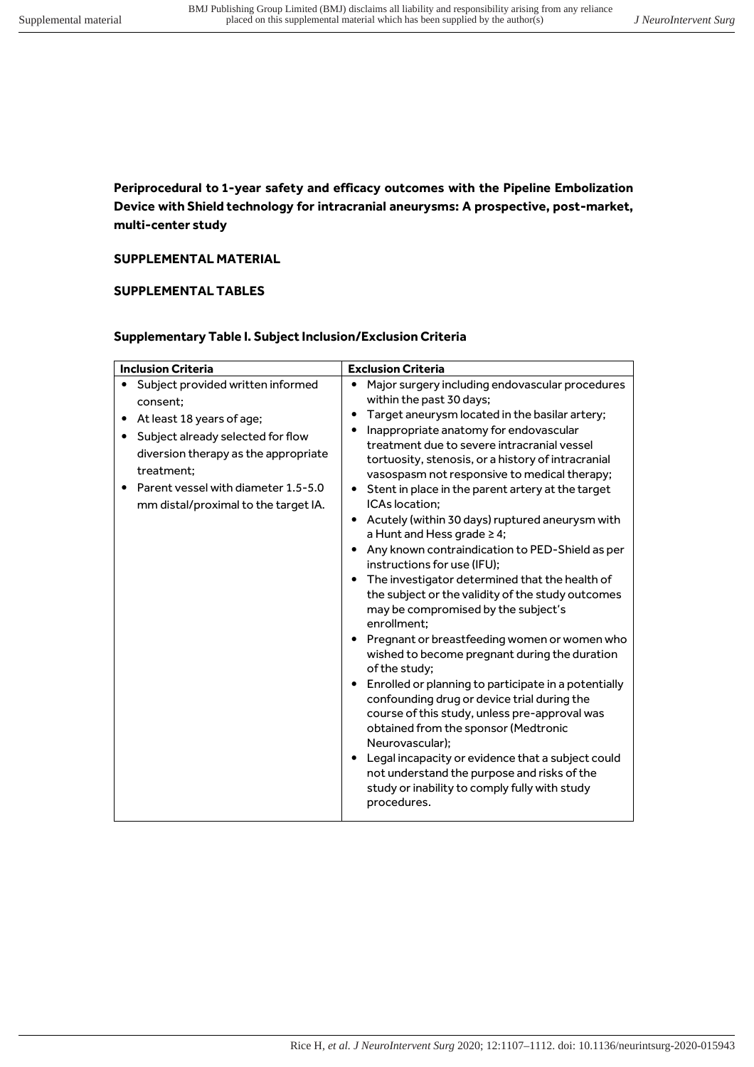Periprocedural to 1-year safety and efficacy outcomes with the Pipeline Embolization Device with Shield technology for intracranial aneurysms: A prospective, post-market, multi-center study

## SUPPLEMENTAL MATERIAL

## SUPPLEMENTAL TABLES

## Supplementary Table I. Subject Inclusion/Exclusion Criteria

| <b>Inclusion Criteria</b>                                                                                                                                                                                                                                                        | <b>Exclusion Criteria</b>                                                                                                                                                                                                                                                                                                                                                                                                                                                                                                                                                                                                                                                                                                                                                                                                                                                                                                                                                                                                                                                                                                                                                                                                                                                                                                                                                    |
|----------------------------------------------------------------------------------------------------------------------------------------------------------------------------------------------------------------------------------------------------------------------------------|------------------------------------------------------------------------------------------------------------------------------------------------------------------------------------------------------------------------------------------------------------------------------------------------------------------------------------------------------------------------------------------------------------------------------------------------------------------------------------------------------------------------------------------------------------------------------------------------------------------------------------------------------------------------------------------------------------------------------------------------------------------------------------------------------------------------------------------------------------------------------------------------------------------------------------------------------------------------------------------------------------------------------------------------------------------------------------------------------------------------------------------------------------------------------------------------------------------------------------------------------------------------------------------------------------------------------------------------------------------------------|
| · Subject provided written informed<br>consent:<br>At least 18 years of age;<br>Subject already selected for flow<br>$\bullet$<br>diversion therapy as the appropriate<br>treatment:<br>Parent vessel with diameter 1.5-5.0<br>$\bullet$<br>mm distal/proximal to the target IA. | Major surgery including endovascular procedures<br>$\bullet$<br>within the past 30 days;<br>Target aneurysm located in the basilar artery;<br>$\bullet$<br>Inappropriate anatomy for endovascular<br>$\bullet$<br>treatment due to severe intracranial vessel<br>tortuosity, stenosis, or a history of intracranial<br>vasospasm not responsive to medical therapy;<br>Stent in place in the parent artery at the target<br>$\bullet$<br>ICAs location:<br>Acutely (within 30 days) ruptured aneurysm with<br>٠<br>a Hunt and Hess grade $\geq 4$ ;<br>Any known contraindication to PED-Shield as per<br>$\bullet$<br>instructions for use (IFU);<br>The investigator determined that the health of<br>$\bullet$<br>the subject or the validity of the study outcomes<br>may be compromised by the subject's<br>enrollment;<br>Pregnant or breastfeeding women or women who<br>$\bullet$<br>wished to become pregnant during the duration<br>of the study;<br>Enrolled or planning to participate in a potentially<br>$\bullet$<br>confounding drug or device trial during the<br>course of this study, unless pre-approval was<br>obtained from the sponsor (Medtronic<br>Neurovascular);<br>Legal incapacity or evidence that a subject could<br>$\bullet$<br>not understand the purpose and risks of the<br>study or inability to comply fully with study<br>procedures. |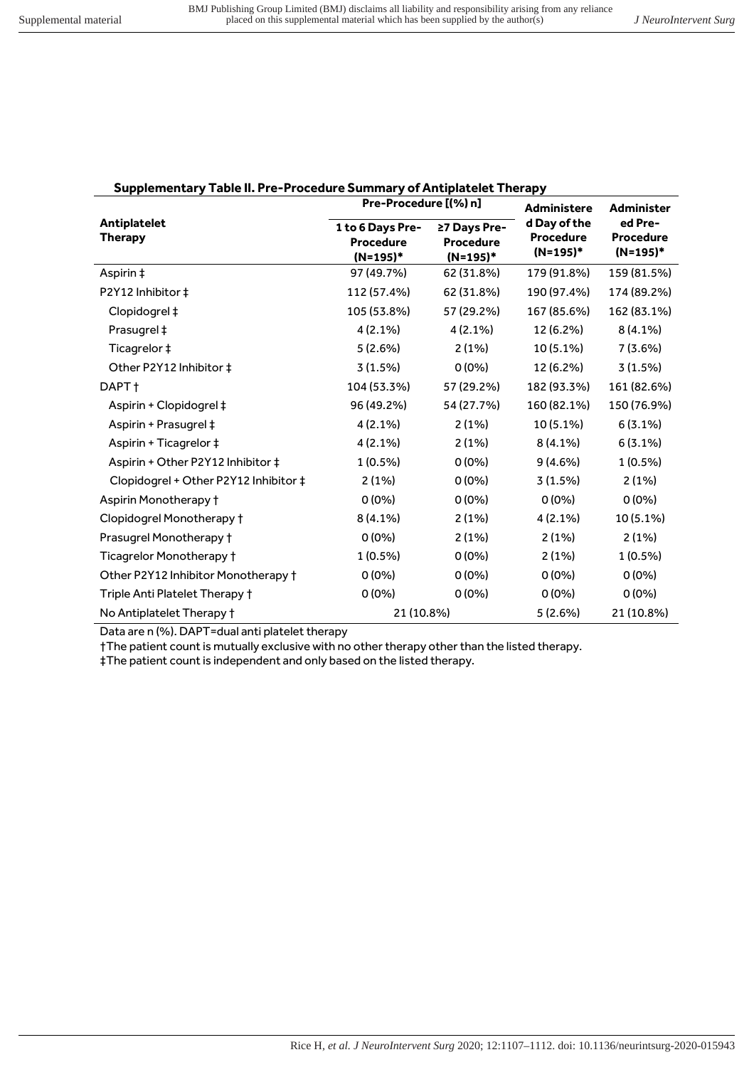| Supplementary Table II. Pre-Procedure Summary of Antiplatelet Therapy |   |
|-----------------------------------------------------------------------|---|
| Pre-Procedure [(%) n]                                                 | . |

|                                       | <b>PIE-PIOCEGUIE (170) III</b>                   |                                              | Administere<br>d Day of the | <b>Administer</b>                       |  |
|---------------------------------------|--------------------------------------------------|----------------------------------------------|-----------------------------|-----------------------------------------|--|
| <b>Antiplatelet</b><br><b>Therapy</b> | 1 to 6 Days Pre-<br><b>Procedure</b><br>(N=195)* | ≥7 Days Pre-<br><b>Procedure</b><br>(N=195)* |                             | ed Pre-<br><b>Procedure</b><br>(N=195)* |  |
| Aspirin ‡                             | 97 (49.7%)                                       | 62 (31.8%)                                   | 179 (91.8%)                 | 159 (81.5%)                             |  |
| P2Y12 Inhibitor ‡                     | 112 (57.4%)                                      | 62 (31.8%)                                   | 190 (97.4%)                 | 174 (89.2%)                             |  |
| Clopidogrel ‡                         | 105 (53.8%)                                      | 57 (29.2%)                                   | 167 (85.6%)                 | 162 (83.1%)                             |  |
| Prasugrel ‡                           | $4(2.1\%)$                                       | 4 (2.1%)                                     | 12 (6.2%)                   | $8(4.1\%)$                              |  |
| Ticagrelor ‡                          | 5(2.6%)                                          | 2(1%)                                        | $10(5.1\%)$                 | $7(3.6\%)$                              |  |
| Other P2Y12 Inhibitor ‡               | 3(1.5%)                                          | $0(0\%)$                                     | 12 (6.2%)                   | 3(1.5%)                                 |  |
| DAPT t                                | 104 (53.3%)                                      | 57 (29.2%)                                   | 182 (93.3%)                 | 161 (82.6%)                             |  |
| Aspirin + Clopidogrel ‡               | 96 (49.2%)                                       | 54 (27.7%)                                   | 160 (82.1%)                 | 150 (76.9%)                             |  |
| Aspirin + Prasugrel ‡                 | $4(2.1\%)$                                       | 2(1%)                                        | 10 (5.1%)                   | $6(3.1\%)$                              |  |
| Aspirin + Ticagrelor ‡                | $4(2.1\%)$                                       | 2(1%)                                        | $8(4.1\%)$                  | $6(3.1\%)$                              |  |
| Aspirin + Other P2Y12 Inhibitor ‡     | $1(0.5\%)$                                       | $0(0\%)$                                     | $9(4.6\%)$                  | $1(0.5\%)$                              |  |
| Clopidogrel + Other P2Y12 Inhibitor ‡ | 2(1%)                                            | $0(0\%)$                                     | 3(1.5%)                     | 2(1%)                                   |  |
| Aspirin Monotherapy †                 | $0(0\%)$                                         | $0(0\%)$                                     | $0(0\%)$                    | $0(0\%)$                                |  |
| Clopidogrel Monotherapy †             | $8(4.1\%)$                                       | 2(1%)                                        | 4 (2.1%)                    | 10 (5.1%)                               |  |
| Prasugrel Monotherapy †               | $0(0\%)$                                         | 2(1%)                                        | 2(1%)                       | 2(1%)                                   |  |
| Ticagrelor Monotherapy †              | $1(0.5\%)$                                       | $0(0\%)$                                     | 2(1%)                       | $1(0.5\%)$                              |  |
| Other P2Y12 Inhibitor Monotherapy +   | $0(0\%)$                                         | $0(0\%)$                                     | $0(0\%)$                    | $0(0\%)$                                |  |
| Triple Anti Platelet Therapy †        | $0(0\%)$                                         | $0(0\%)$                                     | $0(0\%)$                    | $0(0\%)$                                |  |
| No Antiplatelet Therapy †             | 21 (10.8%)                                       |                                              | 5(2.6%)                     | 21 (10.8%)                              |  |

Data are n (%). DAPT=dual anti platelet therapy

†The patient count is mutually exclusive with no other therapy other than the listed therapy.

#The patient count is independent and only based on the listed therapy.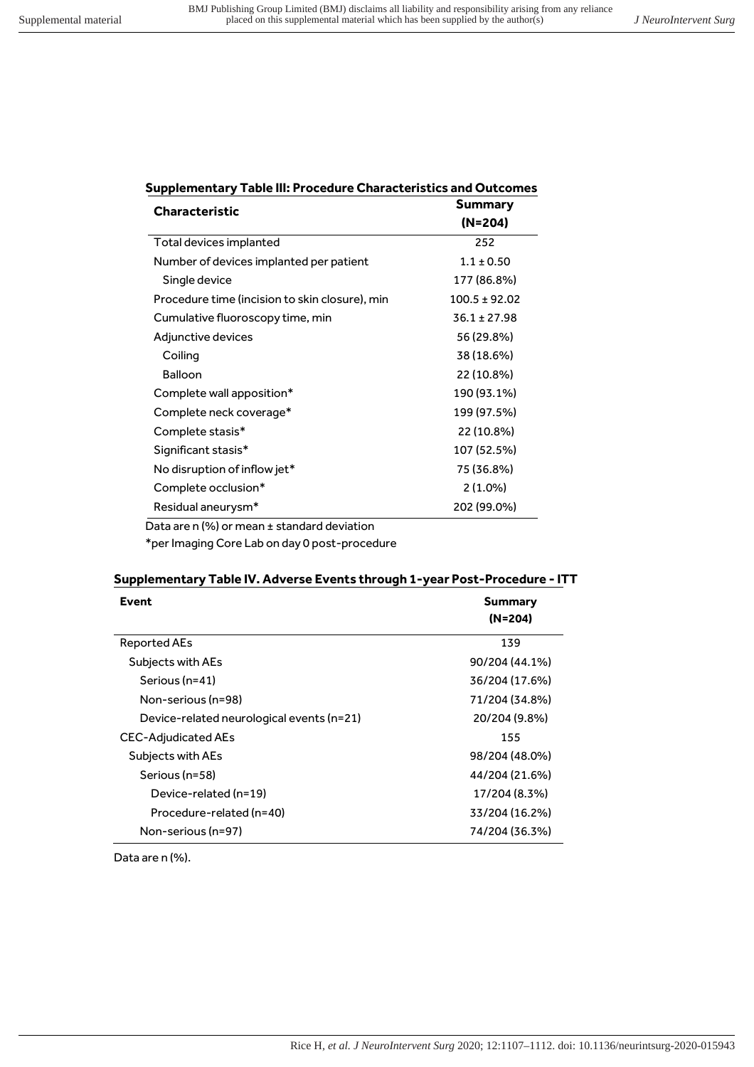| <b>Supplementary Table III: Procedure Characteristics and Outcomes</b> |  |  |  |
|------------------------------------------------------------------------|--|--|--|
|                                                                        |  |  |  |

| <b>Characteristic</b>                          | <b>Summary</b><br>(N=204) |
|------------------------------------------------|---------------------------|
| Total devices implanted                        | 252                       |
| Number of devices implanted per patient        | $1.1 \pm 0.50$            |
| Single device                                  | 177 (86.8%)               |
| Procedure time (incision to skin closure), min | $100.5 \pm 92.02$         |
| Cumulative fluoroscopy time, min               | $36.1 \pm 27.98$          |
| Adjunctive devices                             | 56 (29.8%)                |
| Coiling                                        | 38 (18.6%)                |
| <b>Balloon</b>                                 | 22 (10.8%)                |
| Complete wall apposition*                      | 190 (93.1%)               |
| Complete neck coverage*                        | 199 (97.5%)               |
| Complete stasis*                               | 22 (10.8%)                |
| Significant stasis*                            | 107 (52.5%)               |
| No disruption of inflow jet*                   | 75 (36.8%)                |
| Complete occlusion*                            | $2(1.0\%)$                |
| Residual aneurysm*                             | 202 (99.0%)               |
| Data are n (%) or mean ± standard deviation    |                           |

\*per Imaging Core Lab on day 0 post-procedure

# Supplementary Table IV. Adverse Events through 1-year Post-Procedure - ITT

| Event                                     | <b>Summary</b> |
|-------------------------------------------|----------------|
|                                           | $(N=204)$      |
| <b>Reported AEs</b>                       | 139            |
| Subjects with AEs                         | 90/204 (44.1%) |
| Serious (n=41)                            | 36/204 (17.6%) |
| Non-serious (n=98)                        | 71/204 (34.8%) |
| Device-related neurological events (n=21) | 20/204 (9.8%)  |
| CEC-Adjudicated AEs                       | 155            |
| Subjects with AEs                         | 98/204 (48.0%) |
| Serious (n=58)                            | 44/204 (21.6%) |
| Device-related (n=19)                     | 17/204 (8.3%)  |
| Procedure-related (n=40)                  | 33/204 (16.2%) |
| Non-serious (n=97)                        | 74/204 (36.3%) |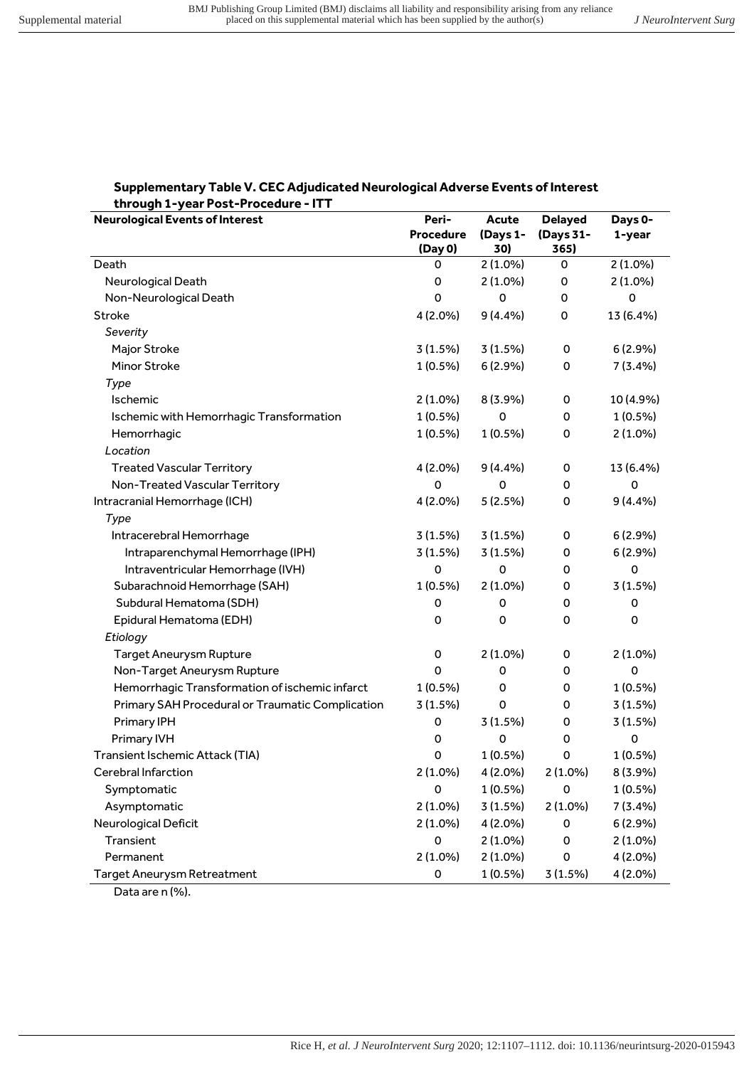#### Supplementary Table V. CEC Adjudicated Neurological Adverse Events of Interest through 1-year Post-Procedure - ITT

| <b>Neurological Events of Interest</b>           | Peri-               | Acute       | <b>Delayed</b> | Days 0-     |
|--------------------------------------------------|---------------------|-------------|----------------|-------------|
|                                                  | <b>Procedure</b>    | (Days 1-    | (Days 31-      | 1-year      |
|                                                  | (Day 0)             | 30)         | 365)           |             |
| Death                                            | 0                   | $2(1.0\%)$  | 0              | $2(1.0\%)$  |
| Neurological Death                               | 0                   | $2(1.0\%)$  | 0              | $2(1.0\%)$  |
| Non-Neurological Death                           | 0                   | 0           | 0              | 0           |
| Stroke                                           | 4 (2.0%)            | 9(4.4%)     | 0              | 13 (6.4%)   |
| Severity                                         |                     |             |                |             |
| Major Stroke                                     | 3(1.5%)             | 3(1.5%)     | 0              | 6 (2.9%)    |
| <b>Minor Stroke</b>                              | $1(0.5\%)$          | 6(2.9%)     | 0              | 7(3.4%)     |
| Type                                             |                     |             |                |             |
| Ischemic                                         | $2(1.0\%)$          | 8 (3.9%)    | 0              | 10 (4.9%)   |
| Ischemic with Hemorrhagic Transformation         | $1(0.5\%)$          | $\mathbf 0$ | 0              | 1 (0.5%)    |
| Hemorrhagic                                      | 1 (0.5%)            | 1 (0.5%)    | 0              | $2(1.0\%)$  |
| Location                                         |                     |             |                |             |
| <b>Treated Vascular Territory</b>                | 4 (2.0%)            | 9(4.4%)     | 0              | 13 (6.4%)   |
| Non-Treated Vascular Territory                   | 0                   | 0           | 0              | 0           |
| Intracranial Hemorrhage (ICH)                    | 4 (2.0%)            | 5(2.5%)     | 0              | 9(4.4%)     |
| Type                                             |                     |             |                |             |
| Intracerebral Hemorrhage                         | 3(1.5%)             | 3(1.5%)     | 0              | 6(2.9%)     |
| Intraparenchymal Hemorrhage (IPH)                | 3(1.5%)             | 3(1.5%)     | 0              | 6 (2.9%)    |
| Intraventricular Hemorrhage (IVH)                | 0                   | 0           | 0              | $\mathbf 0$ |
| Subarachnoid Hemorrhage (SAH)                    | $1(0.5\%)$          | $2(1.0\%)$  | 0              | 3(1.5%)     |
| Subdural Hematoma (SDH)                          | 0                   | 0           | 0              | 0           |
| Epidural Hematoma (EDH)                          | 0                   | 0           | 0              | 0           |
| Etiology                                         |                     |             |                |             |
| <b>Target Aneurysm Rupture</b>                   | $\mathsf{O}\xspace$ | $2(1.0\%)$  | 0              | $2(1.0\%)$  |
| Non-Target Aneurysm Rupture                      | $\mathbf 0$         | 0           | 0              | 0           |
| Hemorrhagic Transformation of ischemic infarct   | $1(0.5\%)$          | 0           | 0              | $1(0.5\%)$  |
| Primary SAH Procedural or Traumatic Complication | 3(1.5%)             | 0           | 0              | 3(1.5%)     |
| Primary IPH                                      | 0                   | 3(1.5%)     | 0              | 3 (1.5%)    |
| Primary IVH                                      | 0                   | 0           | 0              | 0           |
| Transient Ischemic Attack (TIA)                  | 0                   | 1 (0.5%)    | 0              | 1 (0.5%)    |
| Cerebral Infarction                              | 2 (1.0%)            | 4 (2.0%)    | $2(1.0\%)$     | 8 (3.9%)    |
| Symptomatic                                      | $\mathsf{O}\xspace$ | 1 (0.5%)    | 0              | 1 (0.5%)    |
| Asymptomatic                                     | $2(1.0\%)$          | 3 (1.5%)    | 2 (1.0%)       | 7 (3.4%)    |
| Neurological Deficit                             | $2(1.0\%)$          | 4 (2.0%)    | 0              | 6(2.9%)     |
| Transient                                        | $\mathsf{O}\xspace$ | $2(1.0\%)$  | 0              | $2(1.0\%)$  |
| Permanent                                        | 2 (1.0%)            | 2 (1.0%)    | 0              | 4 (2.0%)    |
| <b>Target Aneurysm Retreatment</b>               | 0                   | 1 (0.5%)    | 3 (1.5%)       | 4 (2.0%)    |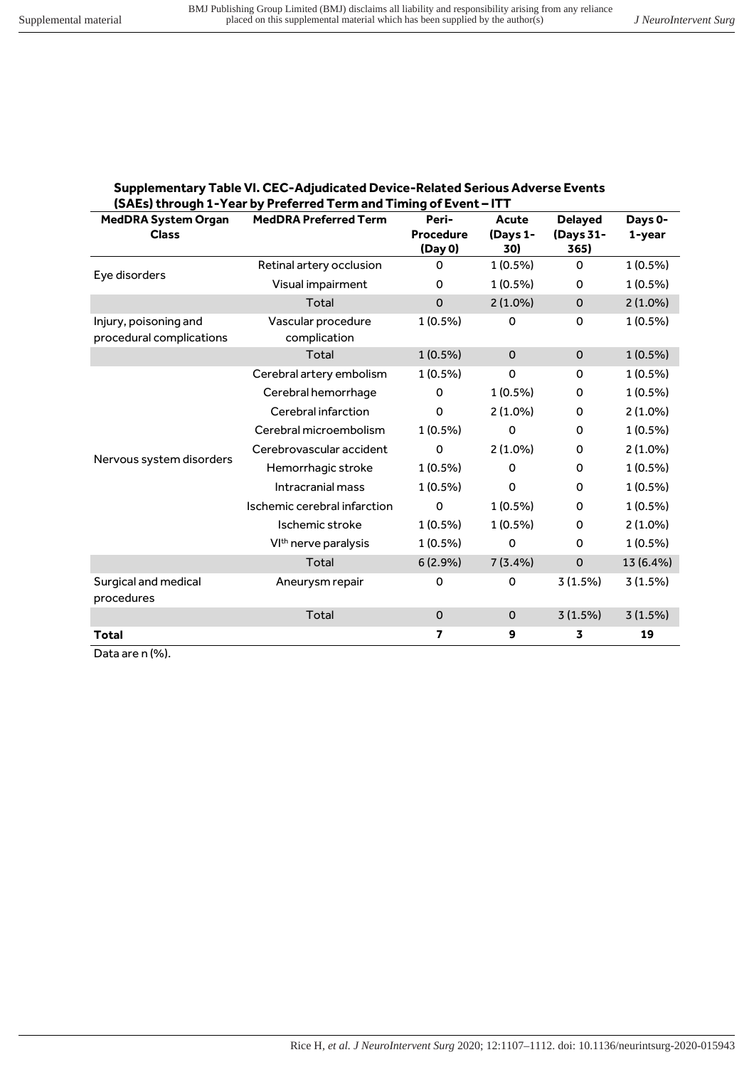| <b>Supplementary Table VI. CEC-Adjudicated Device-Related Serious Adverse Events</b> |
|--------------------------------------------------------------------------------------|
| (SAEs) through 1-Year by Preferred Term and Timing of Event – ITT                    |

| <b>MedDRA System Organ</b><br><b>Class</b>        | <b>MedDRA Preferred Term</b>       | Peri-<br>Procedure<br>(Day 0) | Acute<br>(Days 1-<br>30) | <b>Delayed</b><br>(Days 31-<br>365) | Days 0-<br>1-year |
|---------------------------------------------------|------------------------------------|-------------------------------|--------------------------|-------------------------------------|-------------------|
| Eye disorders                                     | Retinal artery occlusion           | 0                             | $1(0.5\%)$               | 0                                   | $1(0.5\%)$        |
|                                                   | Visual impairment                  | 0                             | $1(0.5\%)$               | 0                                   | $1(0.5\%)$        |
|                                                   | Total                              | $\mathbf 0$                   | $2(1.0\%)$               | $\pmb{0}$                           | $2(1.0\%)$        |
| Injury, poisoning and<br>procedural complications | Vascular procedure<br>complication | $1(0.5\%)$                    | $\Omega$                 | 0                                   | $1(0.5\%)$        |
|                                                   | Total                              | $1(0.5\%)$                    | $\mathbf 0$              | $\mathbf 0$                         | $1(0.5\%)$        |
|                                                   | Cerebral artery embolism           | $1(0.5\%)$                    | $\mathbf 0$              | 0                                   | $1(0.5\%)$        |
|                                                   | Cerebral hemorrhage                | 0                             | $1(0.5\%)$               | 0                                   | $1(0.5\%)$        |
|                                                   | Cerebral infarction                | $\mathbf 0$                   | $2(1.0\%)$               | 0                                   | $2(1.0\%)$        |
|                                                   | Cerebral microembolism             | $1(0.5\%)$                    | 0                        | 0                                   | $1(0.5\%)$        |
|                                                   | Cerebrovascular accident           | 0                             | $2(1.0\%)$               | 0                                   | $2(1.0\%)$        |
| Nervous system disorders                          | Hemorrhagic stroke                 | $1(0.5\%)$                    | 0                        | 0                                   | $1(0.5\%)$        |
|                                                   | Intracranial mass                  | $1(0.5\%)$                    | $\Omega$                 | 0                                   | $1(0.5\%)$        |
|                                                   | Ischemic cerebral infarction       | 0                             | $1(0.5\%)$               | 0                                   | $1(0.5\%)$        |
|                                                   | Ischemic stroke                    | $1(0.5\%)$                    | 1 (0.5%)                 | 0                                   | $2(1.0\%)$        |
|                                                   | VI <sup>th</sup> nerve paralysis   | $1(0.5\%)$                    | $\mathbf 0$              | 0                                   | $1(0.5\%)$        |
|                                                   | Total                              | 6(2.9%)                       | $7(3.4\%)$               | $\mathbf 0$                         | 13 (6.4%)         |
| Surgical and medical<br>procedures                | Aneurysm repair                    | 0                             | 0                        | 3(1.5%)                             | 3(1.5%)           |
|                                                   | Total                              | $\Omega$                      | $\mathbf 0$              | 3(1.5%)                             | 3(1.5%)           |
| <b>Total</b>                                      |                                    | 7                             | 9                        | 3                                   | 19                |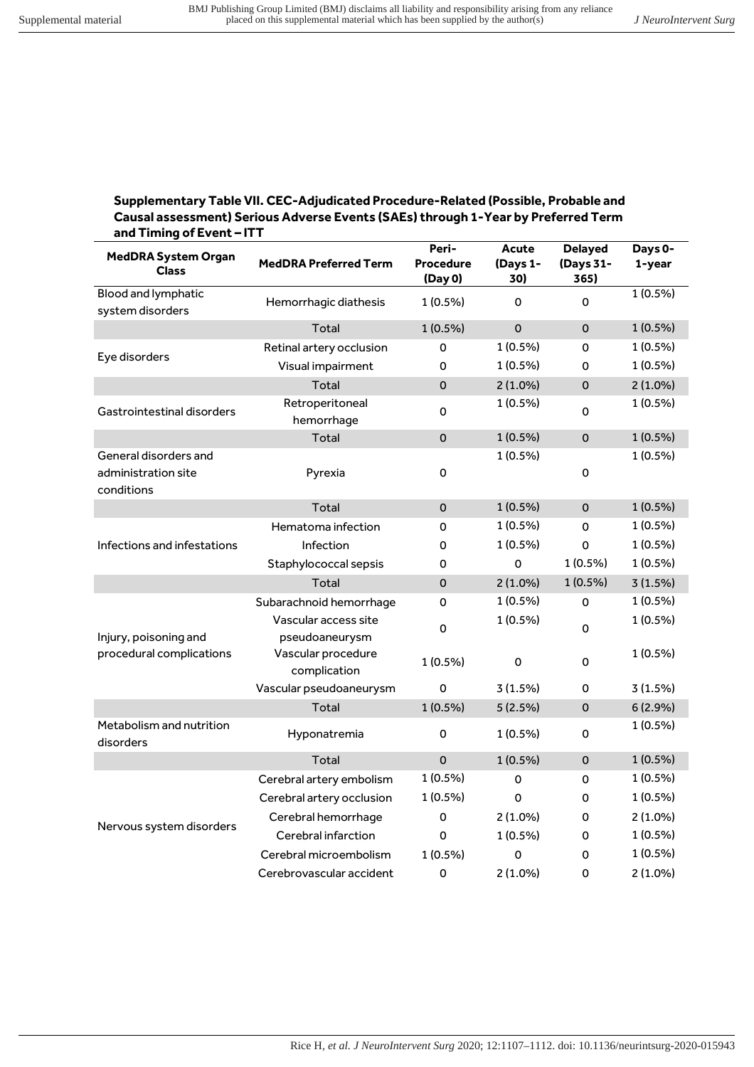### Supplementary Table VII. CEC-Adjudicated Procedure-Related (Possible, Probable and Causal assessment) Serious Adverse Events (SAEs) through 1-Year by Preferred Term and Timing of Event-ITT

| <b>MedDRA System Organ</b><br><b>Class</b>                 | <b>MedDRA Preferred Term</b>           | Peri-<br><b>Procedure</b><br>(Day 0) | Acute<br>(Days 1-<br>30) | <b>Delayed</b><br>(Days 31-<br>365) | Days 0-<br>1-year |
|------------------------------------------------------------|----------------------------------------|--------------------------------------|--------------------------|-------------------------------------|-------------------|
| Blood and lymphatic<br>system disorders                    | Hemorrhagic diathesis                  | $1(0.5\%)$                           | 0                        | 0                                   | 1 (0.5%)          |
|                                                            | Total                                  | $1(0.5\%)$                           | $\mathbf 0$              | 0                                   | $1(0.5\%)$        |
| Eye disorders                                              | Retinal artery occlusion               | 0                                    | 1 (0.5%)                 | 0                                   | $1(0.5\%)$        |
|                                                            | Visual impairment                      | 0                                    | 1 (0.5%)                 | 0                                   | 1 (0.5%)          |
|                                                            | Total                                  | $\mathbf 0$                          | $2(1.0\%)$               | 0                                   | $2(1.0\%)$        |
| Gastrointestinal disorders                                 | Retroperitoneal<br>hemorrhage          | 0                                    | 1 (0.5%)                 | 0                                   | 1 (0.5%)          |
|                                                            | Total                                  | $\mathsf{O}\xspace$                  | $1(0.5\%)$               | $\mathbf{O}$                        | 1 (0.5%)          |
| General disorders and<br>administration site<br>conditions | Pyrexia                                | 0                                    | 1 (0.5%)                 | 0                                   | $1(0.5\%)$        |
|                                                            | Total                                  | $\mathsf{O}\xspace$                  | $1(0.5\%)$               | $\Omega$                            | $1(0.5\%)$        |
|                                                            | Hematoma infection                     | 0                                    | 1 (0.5%)                 | 0                                   | $1(0.5\%)$        |
| Infections and infestations                                | Infection                              | 0                                    | 1 (0.5%)                 | 0                                   | 1 (0.5%)          |
|                                                            | Staphylococcal sepsis                  | 0                                    | $\Omega$                 | $1(0.5\%)$                          | 1 (0.5%)          |
|                                                            | Total                                  | $\mathbf 0$                          | $2(1.0\%)$               | $1(0.5\%)$                          | 3(1.5%)           |
|                                                            | Subarachnoid hemorrhage                | $\mathsf{O}\xspace$                  | $1(0.5\%)$               | 0                                   | $1(0.5\%)$        |
| Injury, poisoning and                                      | Vascular access site<br>pseudoaneurysm | 0                                    | 1 (0.5%)                 | 0                                   | 1 (0.5%)          |
| procedural complications                                   | Vascular procedure<br>complication     | 1 (0.5%)                             | $\mathbf 0$              | 0                                   | 1 (0.5%)          |
|                                                            | Vascular pseudoaneurysm                | $\mathbf 0$                          | 3(1.5%)                  | 0                                   | 3(1.5%)           |
|                                                            | Total                                  | $1(0.5\%)$                           | 5(2.5%)                  | 0                                   | 6(2.9%)           |
| Metabolism and nutrition<br>disorders                      | Hyponatremia                           | 0                                    | $1(0.5\%)$               | 0                                   | 1 (0.5%)          |
|                                                            | Total                                  | $\mathbf 0$                          | 1 (0.5%)                 | $\mathbf 0$                         | $1(0.5\%)$        |
|                                                            | Cerebral artery embolism               | 1 (0.5%)                             | 0                        | 0                                   | 1 (0.5%)          |
|                                                            | Cerebral artery occlusion              | 1 (0.5%)                             | $\Omega$                 | 0                                   | $1(0.5\%)$        |
|                                                            | Cerebral hemorrhage                    | 0                                    | $2(1.0\%)$               | 0                                   | $2(1.0\%)$        |
| Nervous system disorders                                   | Cerebral infarction                    | 0                                    | 1 (0.5%)                 | 0                                   | 1 (0.5%)          |
|                                                            | Cerebral microembolism                 | 1 (0.5%)                             | 0                        | 0                                   | 1 (0.5%)          |
|                                                            | Cerebrovascular accident               | 0                                    | $2(1.0\%)$               | 0                                   | $2(1.0\%)$        |